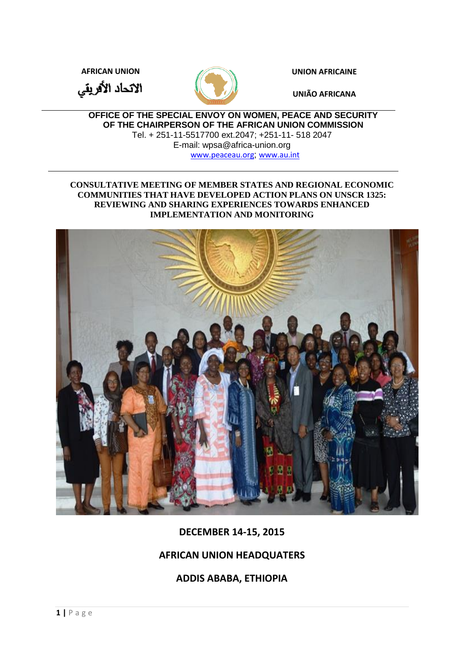**AFRICAN UNION UNION AFRICAINE**

الاتحاد الأفريقي



**UNIÃO AFRICANA**

**OFFICE OF THE SPECIAL ENVOY ON WOMEN, PEACE AND SECURITY OF THE CHAIRPERSON OF THE AFRICAN UNION COMMISSION**  Tel. + 251-11-5517700 ext.2047; +251-11- 518 2047 E-mail: wpsa@africa-union.org

[www.peaceau.org](http://www.peaceau.org/); [www.au.int](http://www.au.int/)

### **CONSULTATIVE MEETING OF MEMBER STATES AND REGIONAL ECONOMIC COMMUNITIES THAT HAVE DEVELOPED ACTION PLANS ON UNSCR 1325: REVIEWING AND SHARING EXPERIENCES TOWARDS ENHANCED IMPLEMENTATION AND MONITORING**



**DECEMBER 14-15, 2015**

# **AFRICAN UNION HEADQUATERS**

**ADDIS ABABA, ETHIOPIA**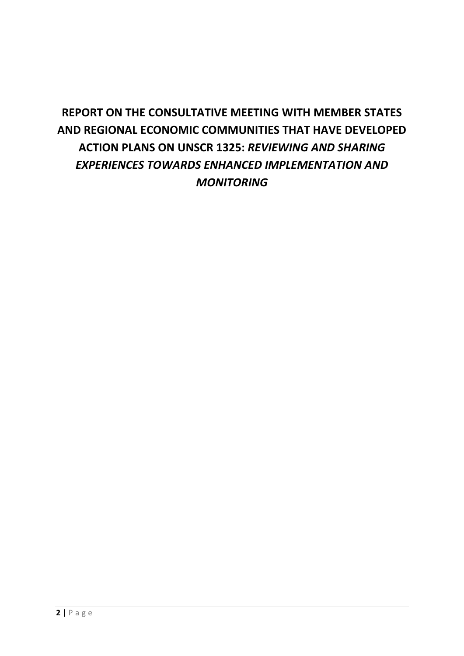# **REPORT ON THE CONSULTATIVE MEETING WITH MEMBER STATES AND REGIONAL ECONOMIC COMMUNITIES THAT HAVE DEVELOPED ACTION PLANS ON UNSCR 1325:** *REVIEWING AND SHARING EXPERIENCES TOWARDS ENHANCED IMPLEMENTATION AND MONITORING*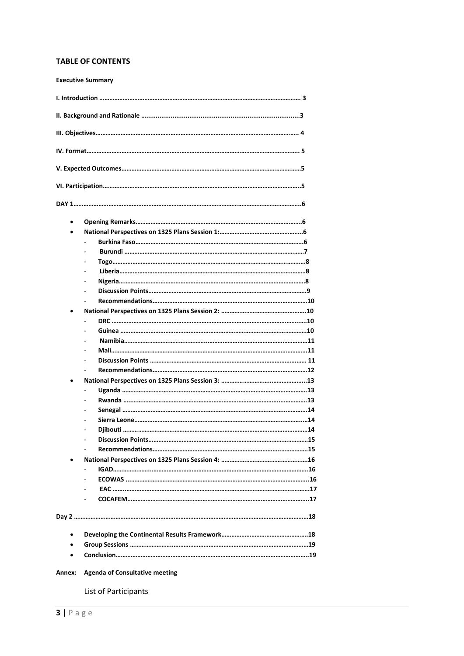#### **TABLE OF CONTENTS**

**Executive Summary**

| $\bullet$ |  |
|-----------|--|
|           |  |
|           |  |
|           |  |
|           |  |
|           |  |
|           |  |
|           |  |
|           |  |
|           |  |
|           |  |
|           |  |
|           |  |
|           |  |
|           |  |
|           |  |
|           |  |
|           |  |
|           |  |
|           |  |
|           |  |
|           |  |
|           |  |
|           |  |
|           |  |
|           |  |
|           |  |
|           |  |
|           |  |
|           |  |
|           |  |
|           |  |
|           |  |
|           |  |
|           |  |
|           |  |

#### **Annex: Agenda of Consultative meeting**

List of Participants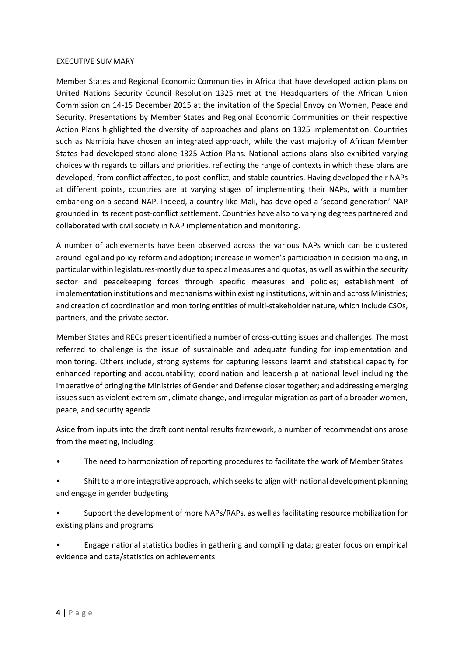#### EXECUTIVE SUMMARY

Member States and Regional Economic Communities in Africa that have developed action plans on United Nations Security Council Resolution 1325 met at the Headquarters of the African Union Commission on 14-15 December 2015 at the invitation of the Special Envoy on Women, Peace and Security. Presentations by Member States and Regional Economic Communities on their respective Action Plans highlighted the diversity of approaches and plans on 1325 implementation. Countries such as Namibia have chosen an integrated approach, while the vast majority of African Member States had developed stand-alone 1325 Action Plans. National actions plans also exhibited varying choices with regards to pillars and priorities, reflecting the range of contexts in which these plans are developed, from conflict affected, to post-conflict, and stable countries. Having developed their NAPs at different points, countries are at varying stages of implementing their NAPs, with a number embarking on a second NAP. Indeed, a country like Mali, has developed a 'second generation' NAP grounded in its recent post-conflict settlement. Countries have also to varying degrees partnered and collaborated with civil society in NAP implementation and monitoring.

A number of achievements have been observed across the various NAPs which can be clustered around legal and policy reform and adoption; increase in women's participation in decision making, in particular within legislatures-mostly due to special measures and quotas, as well as within the security sector and peacekeeping forces through specific measures and policies; establishment of implementation institutions and mechanisms within existing institutions, within and across Ministries; and creation of coordination and monitoring entities of multi-stakeholder nature, which include CSOs, partners, and the private sector.

Member States and RECs present identified a number of cross-cutting issues and challenges. The most referred to challenge is the issue of sustainable and adequate funding for implementation and monitoring. Others include, strong systems for capturing lessons learnt and statistical capacity for enhanced reporting and accountability; coordination and leadership at national level including the imperative of bringing the Ministries of Gender and Defense closer together; and addressing emerging issues such as violent extremism, climate change, and irregular migration as part of a broader women, peace, and security agenda.

Aside from inputs into the draft continental results framework, a number of recommendations arose from the meeting, including:

- The need to harmonization of reporting procedures to facilitate the work of Member States
- Shift to a more integrative approach, which seeks to align with national development planning and engage in gender budgeting
- Support the development of more NAPs/RAPs, as well as facilitating resource mobilization for existing plans and programs
- Engage national statistics bodies in gathering and compiling data; greater focus on empirical evidence and data/statistics on achievements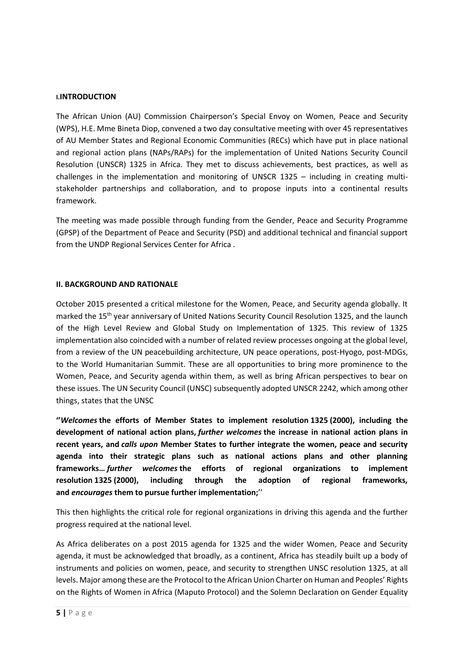#### **I.INTRODUCTION**

The African Union (AU) Commission Chairperson's Special Envoy on Women, Peace and Security (WPS), H.E. Mme Bineta Diop, convened a two day consultative meeting with over 45 representatives of AU Member States and Regional Economic Communities (RECs) which have put in place national and regional action plans (NAPs/RAPs) for the implementation of United Nations Security Council Resolution (UNSCR) 1325 in Africa. They met to discuss achievements, best practices, as well as challenges in the implementation and monitoring of UNSCR 1325 – including in creating multistakeholder partnerships and collaboration, and to propose inputs into a continental results framework.

The meeting was made possible through funding from the Gender, Peace and Security Programme (GPSP) of the Department of Peace and Security (PSD) and additional technical and financial support from the UNDP Regional Services Center for Africa .

### **II. BACKGROUND AND RATIONALE**

October 2015 presented a critical milestone for the Women, Peace, and Security agenda globally. It marked the 15<sup>th</sup> year anniversary of United Nations Security Council Resolution 1325, and the launch of the High Level Review and Global Study on Implementation of 1325. This review of 1325 implementation also coincided with a number of related review processes ongoing at the global level, from a review of the UN peacebuilding architecture, UN peace operations, post-Hyogo, post-MDGs, to the World Humanitarian Summit. These are all opportunities to bring more prominence to the Women, Peace, and Security agenda within them, as well as bring African perspectives to bear on these issues. The UN Security Council (UNSC) subsequently adopted UNSCR 2242, which among other things, states that the UNSC

**''***Welcomes* **the efforts of Member States to implement resolution 1325 (2000), including the development of national action plans,** *further welcomes* **the increase in national action plans in recent years, and** *calls upon* **Member States to further integrate the women, peace and security agenda into their strategic plans such as national actions plans and other planning frameworks…** *further welcomes* **the efforts of regional organizations to implement resolution 1325 (2000), including through the adoption of regional frameworks, and** *encourages* **them to pursue further implementation;**''

This then highlights the critical role for regional organizations in driving this agenda and the further progress required at the national level.

As Africa deliberates on a post 2015 agenda for 1325 and the wider Women, Peace and Security agenda, it must be acknowledged that broadly, as a continent, Africa has steadily built up a body of instruments and policies on women, peace, and security to strengthen UNSC resolution 1325, at all levels. Major among these are the Protocol to the African Union Charter on Human and Peoples' Rights on the Rights of Women in Africa (Maputo Protocol) and the Solemn Declaration on Gender Equality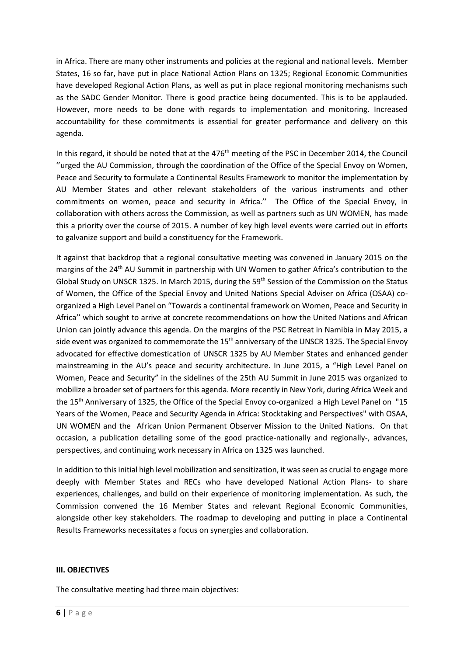in Africa. There are many other instruments and policies at the regional and national levels. Member States, 16 so far, have put in place National Action Plans on 1325; Regional Economic Communities have developed Regional Action Plans, as well as put in place regional monitoring mechanisms such as the SADC Gender Monitor. There is good practice being documented. This is to be applauded. However, more needs to be done with regards to implementation and monitoring. Increased accountability for these commitments is essential for greater performance and delivery on this agenda.

In this regard, it should be noted that at the  $476<sup>th</sup>$  meeting of the PSC in December 2014, the Council ''urged the AU Commission, through the coordination of the Office of the Special Envoy on Women, Peace and Security to formulate a Continental Results Framework to monitor the implementation by AU Member States and other relevant stakeholders of the various instruments and other commitments on women, peace and security in Africa.'' The Office of the Special Envoy, in collaboration with others across the Commission, as well as partners such as UN WOMEN, has made this a priority over the course of 2015. A number of key high level events were carried out in efforts to galvanize support and build a constituency for the Framework.

It against that backdrop that a regional consultative meeting was convened in January 2015 on the margins of the 24<sup>th</sup> AU Summit in partnership with UN Women to gather Africa's contribution to the Global Study on UNSCR 1325. In March 2015, during the 59<sup>th</sup> Session of the Commission on the Status of Women, the Office of the Special Envoy and United Nations Special Adviser on Africa (OSAA) coorganized a High Level Panel on "Towards a continental framework on Women, Peace and Security in Africa'' which sought to arrive at concrete recommendations on how the United Nations and African Union can jointly advance this agenda. On the margins of the PSC Retreat in Namibia in May 2015, a side event was organized to commemorate the 15<sup>th</sup> anniversary of the UNSCR 1325. The Special Envoy advocated for effective domestication of UNSCR 1325 by AU Member States and enhanced gender mainstreaming in the AU's peace and security architecture. In June 2015, a "High Level Panel on Women, Peace and Security" in the sidelines of the 25th AU Summit in June 2015 was organized to mobilize a broader set of partners for this agenda. More recently in New York, during Africa Week and the 15<sup>th</sup> Anniversary of 1325, the Office of the Special Envoy co-organized a High Level Panel on "15 Years of the Women, Peace and Security Agenda in Africa: Stocktaking and Perspectives" with OSAA, UN WOMEN and the African Union Permanent Observer Mission to the United Nations. On that occasion, a publication detailing some of the good practice-nationally and regionally-, advances, perspectives, and continuing work necessary in Africa on 1325 was launched.

In addition to this initial high level mobilization and sensitization, it wasseen as crucial to engage more deeply with Member States and RECs who have developed National Action Plans- to share experiences, challenges, and build on their experience of monitoring implementation. As such, the Commission convened the 16 Member States and relevant Regional Economic Communities, alongside other key stakeholders. The roadmap to developing and putting in place a Continental Results Frameworks necessitates a focus on synergies and collaboration.

#### **III. OBJECTIVES**

The consultative meeting had three main objectives: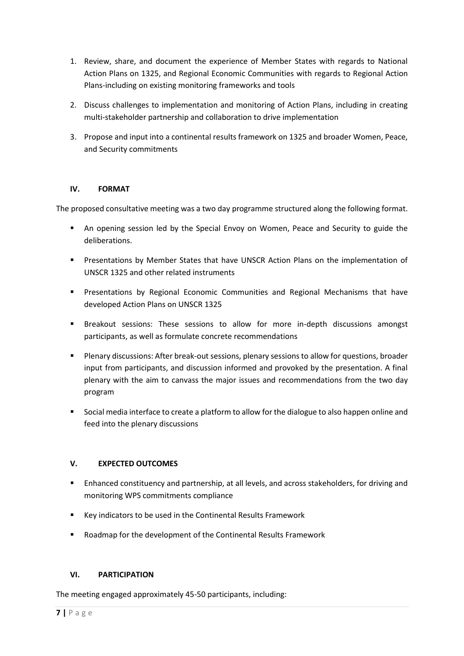- 1. Review, share, and document the experience of Member States with regards to National Action Plans on 1325, and Regional Economic Communities with regards to Regional Action Plans-including on existing monitoring frameworks and tools
- 2. Discuss challenges to implementation and monitoring of Action Plans, including in creating multi-stakeholder partnership and collaboration to drive implementation
- 3. Propose and input into a continental results framework on 1325 and broader Women, Peace, and Security commitments

### **IV. FORMAT**

The proposed consultative meeting was a two day programme structured along the following format.

- An opening session led by the Special Envoy on Women, Peace and Security to guide the deliberations.
- **Presentations by Member States that have UNSCR Action Plans on the implementation of** UNSCR 1325 and other related instruments
- **Presentations by Regional Economic Communities and Regional Mechanisms that have** developed Action Plans on UNSCR 1325
- Breakout sessions: These sessions to allow for more in-depth discussions amongst participants, as well as formulate concrete recommendations
- Plenary discussions: After break-out sessions, plenary sessions to allow for questions, broader input from participants, and discussion informed and provoked by the presentation. A final plenary with the aim to canvass the major issues and recommendations from the two day program
- Social media interface to create a platform to allow for the dialogue to also happen online and feed into the plenary discussions

### **V. EXPECTED OUTCOMES**

- **Enhanced constituency and partnership, at all levels, and across stakeholders, for driving and** monitoring WPS commitments compliance
- Key indicators to be used in the Continental Results Framework
- Roadmap for the development of the Continental Results Framework

### **VI. PARTICIPATION**

The meeting engaged approximately 45-50 participants, including: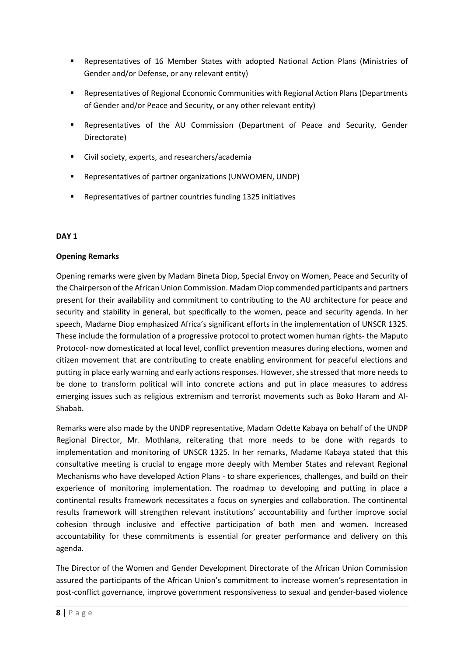- Representatives of 16 Member States with adopted National Action Plans (Ministries of Gender and/or Defense, or any relevant entity)
- Representatives of Regional Economic Communities with Regional Action Plans (Departments of Gender and/or Peace and Security, or any other relevant entity)
- Representatives of the AU Commission (Department of Peace and Security, Gender Directorate)
- Civil society, experts, and researchers/academia
- Representatives of partner organizations (UNWOMEN, UNDP)
- Representatives of partner countries funding 1325 initiatives

### **DAY 1**

### **Opening Remarks**

Opening remarks were given by Madam Bineta Diop, Special Envoy on Women, Peace and Security of the Chairperson of the African Union Commission. Madam Diop commended participants and partners present for their availability and commitment to contributing to the AU architecture for peace and security and stability in general, but specifically to the women, peace and security agenda. In her speech, Madame Diop emphasized Africa's significant efforts in the implementation of UNSCR 1325. These include the formulation of a progressive protocol to protect women human rights- the Maputo Protocol- now domesticated at local level, conflict prevention measures during elections, women and citizen movement that are contributing to create enabling environment for peaceful elections and putting in place early warning and early actions responses. However, she stressed that more needs to be done to transform political will into concrete actions and put in place measures to address emerging issues such as religious extremism and terrorist movements such as Boko Haram and Al-Shabab.

Remarks were also made by the UNDP representative, Madam Odette Kabaya on behalf of the UNDP Regional Director, Mr. Mothlana, reiterating that more needs to be done with regards to implementation and monitoring of UNSCR 1325. In her remarks, Madame Kabaya stated that this consultative meeting is crucial to engage more deeply with Member States and relevant Regional Mechanisms who have developed Action Plans - to share experiences, challenges, and build on their experience of monitoring implementation. The roadmap to developing and putting in place a continental results framework necessitates a focus on synergies and collaboration. The continental results framework will strengthen relevant institutions' accountability and further improve social cohesion through inclusive and effective participation of both men and women. Increased accountability for these commitments is essential for greater performance and delivery on this agenda.

The Director of the Women and Gender Development Directorate of the African Union Commission assured the participants of the African Union's commitment to increase women's representation in post-conflict governance, improve government responsiveness to sexual and gender-based violence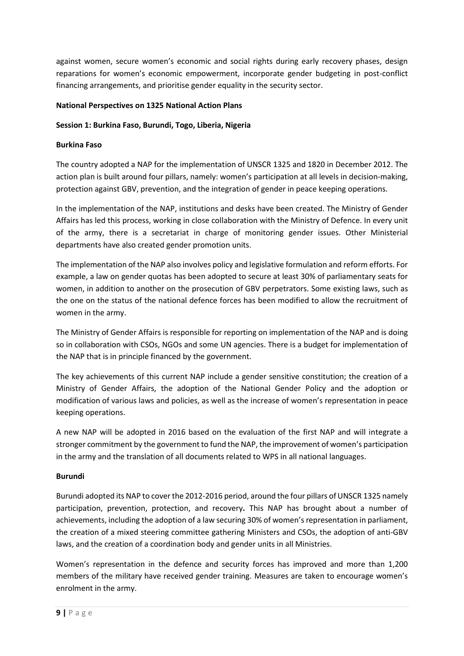against women, secure women's economic and social rights during early recovery phases, design reparations for women's economic empowerment, incorporate gender budgeting in post-conflict financing arrangements, and prioritise gender equality in the security sector.

### **National Perspectives on 1325 National Action Plans**

### **Session 1: Burkina Faso, Burundi, Togo, Liberia, Nigeria**

### **Burkina Faso**

The country adopted a NAP for the implementation of UNSCR 1325 and 1820 in December 2012. The action plan is built around four pillars, namely: women's participation at all levels in decision-making, protection against GBV, prevention, and the integration of gender in peace keeping operations.

In the implementation of the NAP, institutions and desks have been created. The Ministry of Gender Affairs has led this process, working in close collaboration with the Ministry of Defence. In every unit of the army, there is a secretariat in charge of monitoring gender issues. Other Ministerial departments have also created gender promotion units.

The implementation of the NAP also involves policy and legislative formulation and reform efforts. For example, a law on gender quotas has been adopted to secure at least 30% of parliamentary seats for women, in addition to another on the prosecution of GBV perpetrators. Some existing laws, such as the one on the status of the national defence forces has been modified to allow the recruitment of women in the army.

The Ministry of Gender Affairs is responsible for reporting on implementation of the NAP and is doing so in collaboration with CSOs, NGOs and some UN agencies. There is a budget for implementation of the NAP that is in principle financed by the government.

The key achievements of this current NAP include a gender sensitive constitution; the creation of a Ministry of Gender Affairs, the adoption of the National Gender Policy and the adoption or modification of various laws and policies, as well as the increase of women's representation in peace keeping operations.

A new NAP will be adopted in 2016 based on the evaluation of the first NAP and will integrate a stronger commitment by the government to fund the NAP, the improvement of women's participation in the army and the translation of all documents related to WPS in all national languages.

### **Burundi**

Burundi adopted its NAP to cover the 2012-2016 period, around the four pillars of UNSCR 1325 namely participation, prevention, protection, and recovery**.** This NAP has brought about a number of achievements, including the adoption of a law securing 30% of women's representation in parliament, the creation of a mixed steering committee gathering Ministers and CSOs, the adoption of anti-GBV laws, and the creation of a coordination body and gender units in all Ministries.

Women's representation in the defence and security forces has improved and more than 1,200 members of the military have received gender training. Measures are taken to encourage women's enrolment in the army.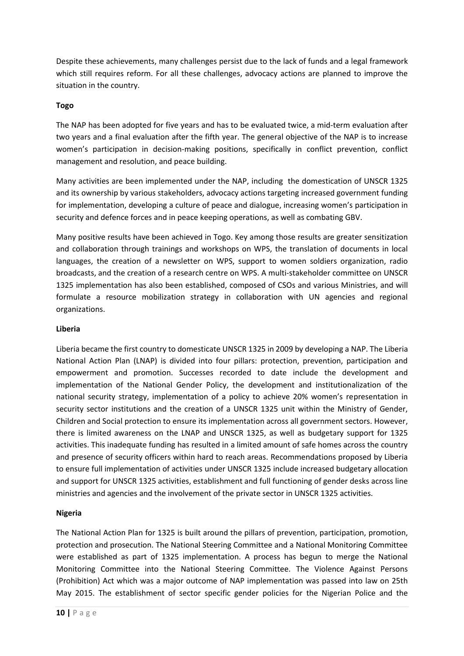Despite these achievements, many challenges persist due to the lack of funds and a legal framework which still requires reform. For all these challenges, advocacy actions are planned to improve the situation in the country.

### **Togo**

The NAP has been adopted for five years and has to be evaluated twice, a mid-term evaluation after two years and a final evaluation after the fifth year. The general objective of the NAP is to increase women's participation in decision-making positions, specifically in conflict prevention, conflict management and resolution, and peace building.

Many activities are been implemented under the NAP, including the domestication of UNSCR 1325 and its ownership by various stakeholders, advocacy actions targeting increased government funding for implementation, developing a culture of peace and dialogue, increasing women's participation in security and defence forces and in peace keeping operations, as well as combating GBV.

Many positive results have been achieved in Togo. Key among those results are greater sensitization and collaboration through trainings and workshops on WPS, the translation of documents in local languages, the creation of a newsletter on WPS, support to women soldiers organization, radio broadcasts, and the creation of a research centre on WPS. A multi-stakeholder committee on UNSCR 1325 implementation has also been established, composed of CSOs and various Ministries, and will formulate a resource mobilization strategy in collaboration with UN agencies and regional organizations.

#### **Liberia**

Liberia became the first country to domesticate UNSCR 1325 in 2009 by developing a NAP. The Liberia National Action Plan (LNAP) is divided into four pillars: protection, prevention, participation and empowerment and promotion. Successes recorded to date include the development and implementation of the National Gender Policy, the development and institutionalization of the national security strategy, implementation of a policy to achieve 20% women's representation in security sector institutions and the creation of a UNSCR 1325 unit within the Ministry of Gender, Children and Social protection to ensure its implementation across all government sectors. However, there is limited awareness on the LNAP and UNSCR 1325, as well as budgetary support for 1325 activities. This inadequate funding has resulted in a limited amount of safe homes across the country and presence of security officers within hard to reach areas. Recommendations proposed by Liberia to ensure full implementation of activities under UNSCR 1325 include increased budgetary allocation and support for UNSCR 1325 activities, establishment and full functioning of gender desks across line ministries and agencies and the involvement of the private sector in UNSCR 1325 activities.

### **Nigeria**

The National Action Plan for 1325 is built around the pillars of prevention, participation, promotion, protection and prosecution. The National Steering Committee and a National Monitoring Committee were established as part of 1325 implementation. A process has begun to merge the National Monitoring Committee into the National Steering Committee. The Violence Against Persons (Prohibition) Act which was a major outcome of NAP implementation was passed into law on 25th May 2015. The establishment of sector specific gender policies for the Nigerian Police and the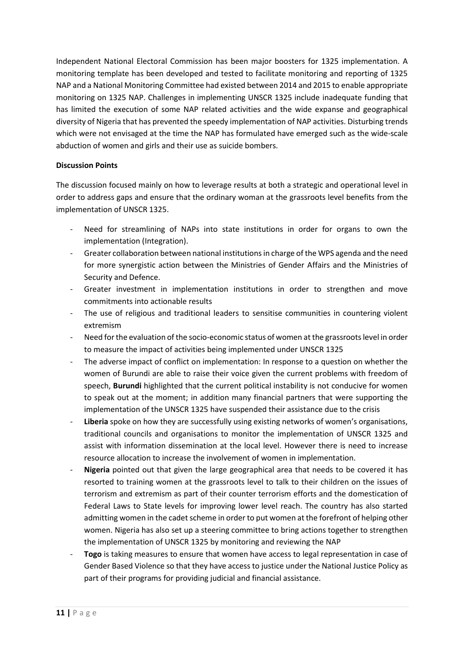Independent National Electoral Commission has been major boosters for 1325 implementation. A monitoring template has been developed and tested to facilitate monitoring and reporting of 1325 NAP and a National Monitoring Committee had existed between 2014 and 2015 to enable appropriate monitoring on 1325 NAP. Challenges in implementing UNSCR 1325 include inadequate funding that has limited the execution of some NAP related activities and the wide expanse and geographical diversity of Nigeria that has prevented the speedy implementation of NAP activities. Disturbing trends which were not envisaged at the time the NAP has formulated have emerged such as the wide-scale abduction of women and girls and their use as suicide bombers.

### **Discussion Points**

The discussion focused mainly on how to leverage results at both a strategic and operational level in order to address gaps and ensure that the ordinary woman at the grassroots level benefits from the implementation of UNSCR 1325.

- Need for streamlining of NAPs into state institutions in order for organs to own the implementation (Integration).
- Greater collaboration between national institutions in charge of the WPS agenda and the need for more synergistic action between the Ministries of Gender Affairs and the Ministries of Security and Defence.
- Greater investment in implementation institutions in order to strengthen and move commitments into actionable results
- The use of religious and traditional leaders to sensitise communities in countering violent extremism
- Need for the evaluation of the socio-economic status of women at the grassroots level in order to measure the impact of activities being implemented under UNSCR 1325
- The adverse impact of conflict on implementation: In response to a question on whether the women of Burundi are able to raise their voice given the current problems with freedom of speech, **Burundi** highlighted that the current political instability is not conducive for women to speak out at the moment; in addition many financial partners that were supporting the implementation of the UNSCR 1325 have suspended their assistance due to the crisis
- Liberia spoke on how they are successfully using existing networks of women's organisations, traditional councils and organisations to monitor the implementation of UNSCR 1325 and assist with information dissemination at the local level. However there is need to increase resource allocation to increase the involvement of women in implementation.
- **Nigeria** pointed out that given the large geographical area that needs to be covered it has resorted to training women at the grassroots level to talk to their children on the issues of terrorism and extremism as part of their counter terrorism efforts and the domestication of Federal Laws to State levels for improving lower level reach. The country has also started admitting women in the cadet scheme in order to put women at the forefront of helping other women. Nigeria has also set up a steering committee to bring actions together to strengthen the implementation of UNSCR 1325 by monitoring and reviewing the NAP
- Togo is taking measures to ensure that women have access to legal representation in case of Gender Based Violence so that they have access to justice under the National Justice Policy as part of their programs for providing judicial and financial assistance.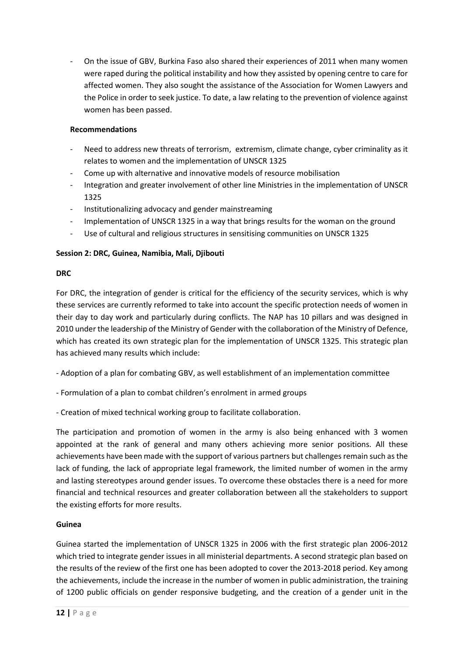On the issue of GBV, Burkina Faso also shared their experiences of 2011 when many women were raped during the political instability and how they assisted by opening centre to care for affected women. They also sought the assistance of the Association for Women Lawyers and the Police in order to seek justice. To date, a law relating to the prevention of violence against women has been passed.

### **Recommendations**

- Need to address new threats of terrorism, extremism, climate change, cyber criminality as it relates to women and the implementation of UNSCR 1325
- Come up with alternative and innovative models of resource mobilisation
- Integration and greater involvement of other line Ministries in the implementation of UNSCR 1325
- Institutionalizing advocacy and gender mainstreaming
- Implementation of UNSCR 1325 in a way that brings results for the woman on the ground
- Use of cultural and religious structures in sensitising communities on UNSCR 1325

### **Session 2: DRC, Guinea, Namibia, Mali, Djibouti**

### **DRC**

For DRC, the integration of gender is critical for the efficiency of the security services, which is why these services are currently reformed to take into account the specific protection needs of women in their day to day work and particularly during conflicts. The NAP has 10 pillars and was designed in 2010 under the leadership of the Ministry of Gender with the collaboration of the Ministry of Defence, which has created its own strategic plan for the implementation of UNSCR 1325. This strategic plan has achieved many results which include:

- Adoption of a plan for combating GBV, as well establishment of an implementation committee
- Formulation of a plan to combat children's enrolment in armed groups
- Creation of mixed technical working group to facilitate collaboration.

The participation and promotion of women in the army is also being enhanced with 3 women appointed at the rank of general and many others achieving more senior positions. All these achievements have been made with the support of various partners but challenges remain such as the lack of funding, the lack of appropriate legal framework, the limited number of women in the army and lasting stereotypes around gender issues. To overcome these obstacles there is a need for more financial and technical resources and greater collaboration between all the stakeholders to support the existing efforts for more results.

### **Guinea**

Guinea started the implementation of UNSCR 1325 in 2006 with the first strategic plan 2006-2012 which tried to integrate gender issues in all ministerial departments. A second strategic plan based on the results of the review of the first one has been adopted to cover the 2013-2018 period. Key among the achievements, include the increase in the number of women in public administration, the training of 1200 public officials on gender responsive budgeting, and the creation of a gender unit in the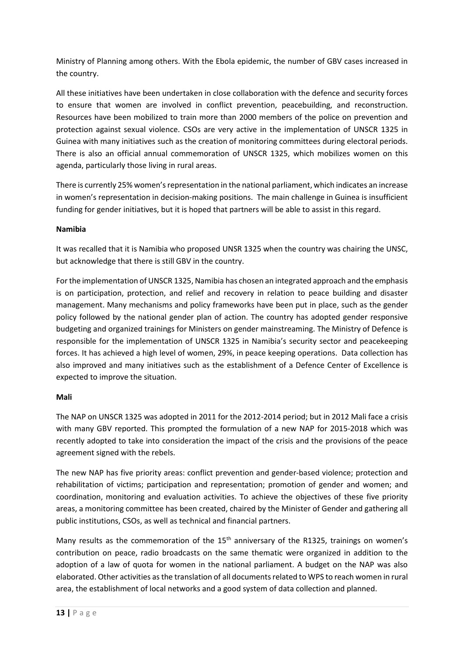Ministry of Planning among others. With the Ebola epidemic, the number of GBV cases increased in the country.

All these initiatives have been undertaken in close collaboration with the defence and security forces to ensure that women are involved in conflict prevention, peacebuilding, and reconstruction. Resources have been mobilized to train more than 2000 members of the police on prevention and protection against sexual violence. CSOs are very active in the implementation of UNSCR 1325 in Guinea with many initiatives such as the creation of monitoring committees during electoral periods. There is also an official annual commemoration of UNSCR 1325, which mobilizes women on this agenda, particularly those living in rural areas.

There is currently 25% women's representation in the national parliament, which indicates an increase in women's representation in decision-making positions. The main challenge in Guinea is insufficient funding for gender initiatives, but it is hoped that partners will be able to assist in this regard.

### **Namibia**

It was recalled that it is Namibia who proposed UNSR 1325 when the country was chairing the UNSC, but acknowledge that there is still GBV in the country.

For the implementation of UNSCR 1325, Namibia has chosen an integrated approach and the emphasis is on participation, protection, and relief and recovery in relation to peace building and disaster management. Many mechanisms and policy frameworks have been put in place, such as the gender policy followed by the national gender plan of action. The country has adopted gender responsive budgeting and organized trainings for Ministers on gender mainstreaming. The Ministry of Defence is responsible for the implementation of UNSCR 1325 in Namibia's security sector and peacekeeping forces. It has achieved a high level of women, 29%, in peace keeping operations. Data collection has also improved and many initiatives such as the establishment of a Defence Center of Excellence is expected to improve the situation.

### **Mali**

The NAP on UNSCR 1325 was adopted in 2011 for the 2012-2014 period; but in 2012 Mali face a crisis with many GBV reported. This prompted the formulation of a new NAP for 2015-2018 which was recently adopted to take into consideration the impact of the crisis and the provisions of the peace agreement signed with the rebels.

The new NAP has five priority areas: conflict prevention and gender-based violence; protection and rehabilitation of victims; participation and representation; promotion of gender and women; and coordination, monitoring and evaluation activities. To achieve the objectives of these five priority areas, a monitoring committee has been created, chaired by the Minister of Gender and gathering all public institutions, CSOs, as well as technical and financial partners.

Many results as the commemoration of the  $15<sup>th</sup>$  anniversary of the R1325, trainings on women's contribution on peace, radio broadcasts on the same thematic were organized in addition to the adoption of a law of quota for women in the national parliament. A budget on the NAP was also elaborated. Other activities as the translation of all documents related to WPS to reach women in rural area, the establishment of local networks and a good system of data collection and planned.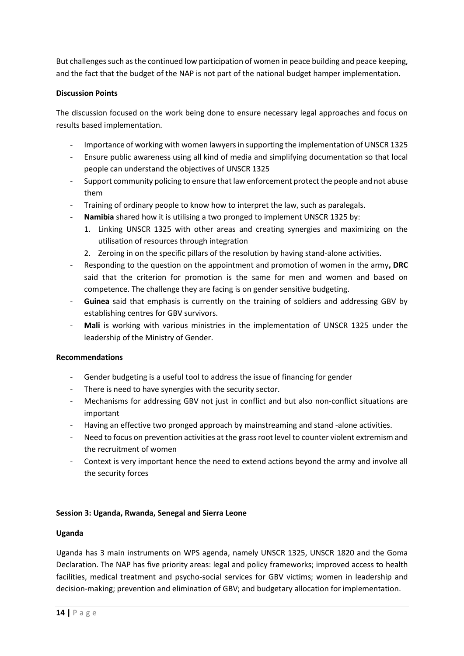But challenges such as the continued low participation of women in peace building and peace keeping, and the fact that the budget of the NAP is not part of the national budget hamper implementation.

### **Discussion Points**

The discussion focused on the work being done to ensure necessary legal approaches and focus on results based implementation.

- Importance of working with women lawyers in supporting the implementation of UNSCR 1325
- Ensure public awareness using all kind of media and simplifying documentation so that local people can understand the objectives of UNSCR 1325
- Support community policing to ensure that law enforcement protect the people and not abuse them
- Training of ordinary people to know how to interpret the law, such as paralegals.
- Namibia shared how it is utilising a two pronged to implement UNSCR 1325 by:
	- 1. Linking UNSCR 1325 with other areas and creating synergies and maximizing on the utilisation of resources through integration
	- 2. Zeroing in on the specific pillars of the resolution by having stand-alone activities.
- Responding to the question on the appointment and promotion of women in the army**, DRC** said that the criterion for promotion is the same for men and women and based on competence. The challenge they are facing is on gender sensitive budgeting.
- **Guinea** said that emphasis is currently on the training of soldiers and addressing GBV by establishing centres for GBV survivors.
- **Mali** is working with various ministries in the implementation of UNSCR 1325 under the leadership of the Ministry of Gender.

### **Recommendations**

- Gender budgeting is a useful tool to address the issue of financing for gender
- There is need to have synergies with the security sector.
- Mechanisms for addressing GBV not just in conflict and but also non-conflict situations are important
- Having an effective two pronged approach by mainstreaming and stand -alone activities.
- Need to focus on prevention activities at the grass root level to counter violent extremism and the recruitment of women
- Context is very important hence the need to extend actions beyond the army and involve all the security forces

### **Session 3: Uganda, Rwanda, Senegal and Sierra Leone**

### **Uganda**

Uganda has 3 main instruments on WPS agenda, namely UNSCR 1325, UNSCR 1820 and the Goma Declaration. The NAP has five priority areas: legal and policy frameworks; improved access to health facilities, medical treatment and psycho-social services for GBV victims; women in leadership and decision-making; prevention and elimination of GBV; and budgetary allocation for implementation.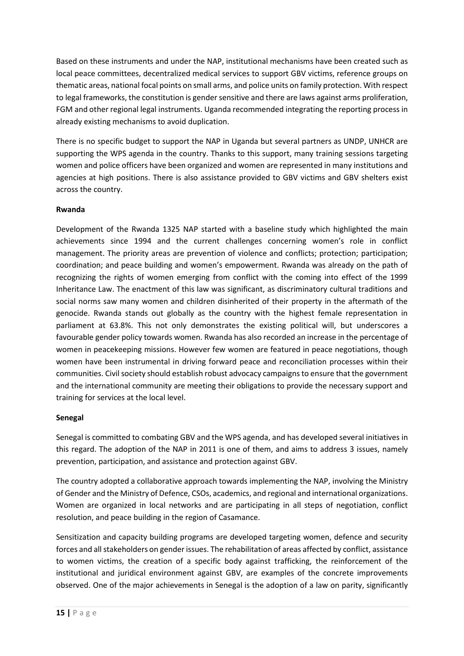Based on these instruments and under the NAP, institutional mechanisms have been created such as local peace committees, decentralized medical services to support GBV victims, reference groups on thematic areas, national focal points on small arms, and police units on family protection. With respect to legal frameworks, the constitution is gender sensitive and there are laws against arms proliferation, FGM and other regional legal instruments. Uganda recommended integrating the reporting process in already existing mechanisms to avoid duplication.

There is no specific budget to support the NAP in Uganda but several partners as UNDP, UNHCR are supporting the WPS agenda in the country. Thanks to this support, many training sessions targeting women and police officers have been organized and women are represented in many institutions and agencies at high positions. There is also assistance provided to GBV victims and GBV shelters exist across the country.

### **Rwanda**

Development of the Rwanda 1325 NAP started with a baseline study which highlighted the main achievements since 1994 and the current challenges concerning women's role in conflict management. The priority areas are prevention of violence and conflicts; protection; participation; coordination; and peace building and women's empowerment. Rwanda was already on the path of recognizing the rights of women emerging from conflict with the coming into effect of the 1999 Inheritance Law. The enactment of this law was significant, as discriminatory cultural traditions and social norms saw many women and children disinherited of their property in the aftermath of the genocide. Rwanda stands out globally as the country with the highest female representation in parliament at 63.8%. This not only demonstrates the existing political will, but underscores a favourable gender policy towards women. Rwanda has also recorded an increase in the percentage of women in peacekeeping missions. However few women are featured in peace negotiations, though women have been instrumental in driving forward peace and reconciliation processes within their communities. Civil society should establish robust advocacy campaigns to ensure that the government and the international community are meeting their obligations to provide the necessary support and training for services at the local level.

### **Senegal**

Senegal is committed to combating GBV and the WPS agenda, and has developed several initiatives in this regard. The adoption of the NAP in 2011 is one of them, and aims to address 3 issues, namely prevention, participation, and assistance and protection against GBV.

The country adopted a collaborative approach towards implementing the NAP, involving the Ministry of Gender and the Ministry of Defence, CSOs, academics, and regional and international organizations. Women are organized in local networks and are participating in all steps of negotiation, conflict resolution, and peace building in the region of Casamance.

Sensitization and capacity building programs are developed targeting women, defence and security forces and all stakeholders on gender issues. The rehabilitation of areas affected by conflict, assistance to women victims, the creation of a specific body against trafficking, the reinforcement of the institutional and juridical environment against GBV, are examples of the concrete improvements observed. One of the major achievements in Senegal is the adoption of a law on parity, significantly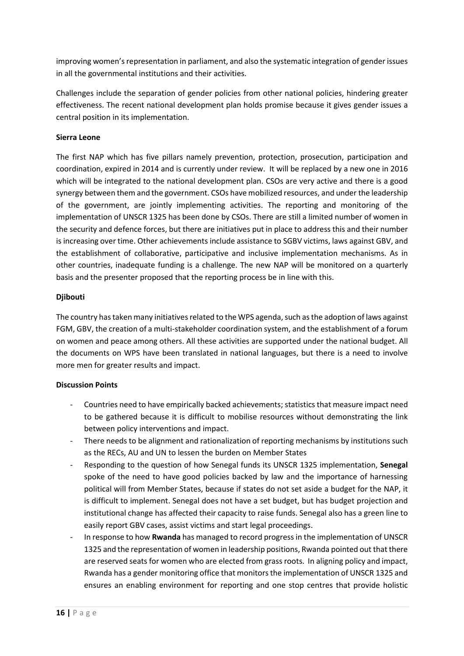improving women's representation in parliament, and also the systematic integration of gender issues in all the governmental institutions and their activities.

Challenges include the separation of gender policies from other national policies, hindering greater effectiveness. The recent national development plan holds promise because it gives gender issues a central position in its implementation.

### **Sierra Leone**

The first NAP which has five pillars namely prevention, protection, prosecution, participation and coordination, expired in 2014 and is currently under review. It will be replaced by a new one in 2016 which will be integrated to the national development plan. CSOs are very active and there is a good synergy between them and the government. CSOs have mobilized resources, and under the leadership of the government, are jointly implementing activities. The reporting and monitoring of the implementation of UNSCR 1325 has been done by CSOs. There are still a limited number of women in the security and defence forces, but there are initiatives put in place to address this and their number is increasing over time. Other achievements include assistance to SGBV victims, laws against GBV, and the establishment of collaborative, participative and inclusive implementation mechanisms. As in other countries, inadequate funding is a challenge. The new NAP will be monitored on a quarterly basis and the presenter proposed that the reporting process be in line with this.

### **Djibouti**

The country has taken many initiatives related to the WPS agenda, such as the adoption of laws against FGM, GBV, the creation of a multi-stakeholder coordination system, and the establishment of a forum on women and peace among others. All these activities are supported under the national budget. All the documents on WPS have been translated in national languages, but there is a need to involve more men for greater results and impact.

#### **Discussion Points**

- Countries need to have empirically backed achievements; statistics that measure impact need to be gathered because it is difficult to mobilise resources without demonstrating the link between policy interventions and impact.
- There needs to be alignment and rationalization of reporting mechanisms by institutions such as the RECs, AU and UN to lessen the burden on Member States
- Responding to the question of how Senegal funds its UNSCR 1325 implementation, **Senegal**  spoke of the need to have good policies backed by law and the importance of harnessing political will from Member States, because if states do not set aside a budget for the NAP, it is difficult to implement. Senegal does not have a set budget, but has budget projection and institutional change has affected their capacity to raise funds. Senegal also has a green line to easily report GBV cases, assist victims and start legal proceedings.
- In response to how **Rwanda** has managed to record progress in the implementation of UNSCR 1325 and the representation of women in leadership positions, Rwanda pointed out that there are reserved seats for women who are elected from grass roots. In aligning policy and impact, Rwanda has a gender monitoring office that monitors the implementation of UNSCR 1325 and ensures an enabling environment for reporting and one stop centres that provide holistic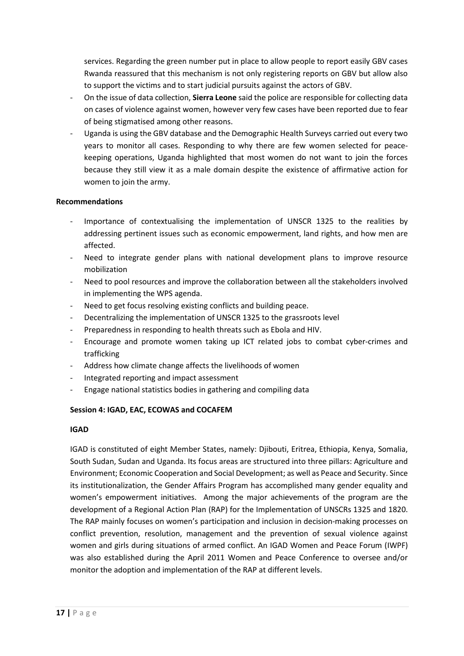services. Regarding the green number put in place to allow people to report easily GBV cases Rwanda reassured that this mechanism is not only registering reports on GBV but allow also to support the victims and to start judicial pursuits against the actors of GBV.

- On the issue of data collection, **Sierra Leone** said the police are responsible for collecting data on cases of violence against women, however very few cases have been reported due to fear of being stigmatised among other reasons.
- Uganda is using the GBV database and the Demographic Health Surveys carried out every two years to monitor all cases. Responding to why there are few women selected for peacekeeping operations, Uganda highlighted that most women do not want to join the forces because they still view it as a male domain despite the existence of affirmative action for women to join the army.

### **Recommendations**

- Importance of contextualising the implementation of UNSCR 1325 to the realities by addressing pertinent issues such as economic empowerment, land rights, and how men are affected.
- Need to integrate gender plans with national development plans to improve resource mobilization
- Need to pool resources and improve the collaboration between all the stakeholders involved in implementing the WPS agenda.
- Need to get focus resolving existing conflicts and building peace.
- Decentralizing the implementation of UNSCR 1325 to the grassroots level
- Preparedness in responding to health threats such as Ebola and HIV.
- Encourage and promote women taking up ICT related jobs to combat cyber-crimes and trafficking
- Address how climate change affects the livelihoods of women
- Integrated reporting and impact assessment
- Engage national statistics bodies in gathering and compiling data

### **Session 4: IGAD, EAC, ECOWAS and COCAFEM**

#### **IGAD**

IGAD is constituted of eight Member States, namely: Djibouti, Eritrea, Ethiopia, Kenya, Somalia, South Sudan, Sudan and Uganda. Its focus areas are structured into three pillars: Agriculture and Environment; Economic Cooperation and Social Development; as well as Peace and Security. Since its institutionalization, the Gender Affairs Program has accomplished many gender equality and women's empowerment initiatives. Among the major achievements of the program are the development of a Regional Action Plan (RAP) for the Implementation of UNSCRs 1325 and 1820. The RAP mainly focuses on women's participation and inclusion in decision-making processes on conflict prevention, resolution, management and the prevention of sexual violence against women and girls during situations of armed conflict. An IGAD Women and Peace Forum (IWPF) was also established during the April 2011 Women and Peace Conference to oversee and/or monitor the adoption and implementation of the RAP at different levels.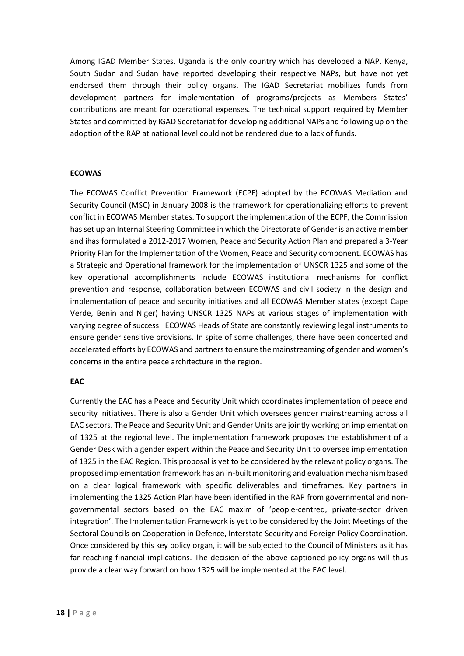Among IGAD Member States, Uganda is the only country which has developed a NAP. Kenya, South Sudan and Sudan have reported developing their respective NAPs, but have not yet endorsed them through their policy organs. The IGAD Secretariat mobilizes funds from development partners for implementation of programs/projects as Members States' contributions are meant for operational expenses. The technical support required by Member States and committed by IGAD Secretariat for developing additional NAPs and following up on the adoption of the RAP at national level could not be rendered due to a lack of funds.

### **ECOWAS**

The ECOWAS Conflict Prevention Framework (ECPF) adopted by the ECOWAS Mediation and Security Council (MSC) in January 2008 is the framework for operationalizing efforts to prevent conflict in ECOWAS Member states. To support the implementation of the ECPF, the Commission has set up an Internal Steering Committee in which the Directorate of Gender is an active member and ihas formulated a 2012-2017 Women, Peace and Security Action Plan and prepared a 3-Year Priority Plan for the Implementation of the Women, Peace and Security component. ECOWAS has a Strategic and Operational framework for the implementation of UNSCR 1325 and some of the key operational accomplishments include ECOWAS institutional mechanisms for conflict prevention and response, collaboration between ECOWAS and civil society in the design and implementation of peace and security initiatives and all ECOWAS Member states (except Cape Verde, Benin and Niger) having UNSCR 1325 NAPs at various stages of implementation with varying degree of success. ECOWAS Heads of State are constantly reviewing legal instruments to ensure gender sensitive provisions. In spite of some challenges, there have been concerted and accelerated efforts by ECOWAS and partners to ensure the mainstreaming of gender and women's concerns in the entire peace architecture in the region.

### **EAC**

Currently the EAC has a Peace and Security Unit which coordinates implementation of peace and security initiatives. There is also a Gender Unit which oversees gender mainstreaming across all EAC sectors. The Peace and Security Unit and Gender Units are jointly working on implementation of 1325 at the regional level. The implementation framework proposes the establishment of a Gender Desk with a gender expert within the Peace and Security Unit to oversee implementation of 1325 in the EAC Region. This proposal is yet to be considered by the relevant policy organs. The proposed implementation framework has an in-built monitoring and evaluation mechanism based on a clear logical framework with specific deliverables and timeframes. Key partners in implementing the 1325 Action Plan have been identified in the RAP from governmental and nongovernmental sectors based on the EAC maxim of 'people-centred, private-sector driven integration'. The Implementation Framework is yet to be considered by the Joint Meetings of the Sectoral Councils on Cooperation in Defence, Interstate Security and Foreign Policy Coordination. Once considered by this key policy organ, it will be subjected to the Council of Ministers as it has far reaching financial implications. The decision of the above captioned policy organs will thus provide a clear way forward on how 1325 will be implemented at the EAC level.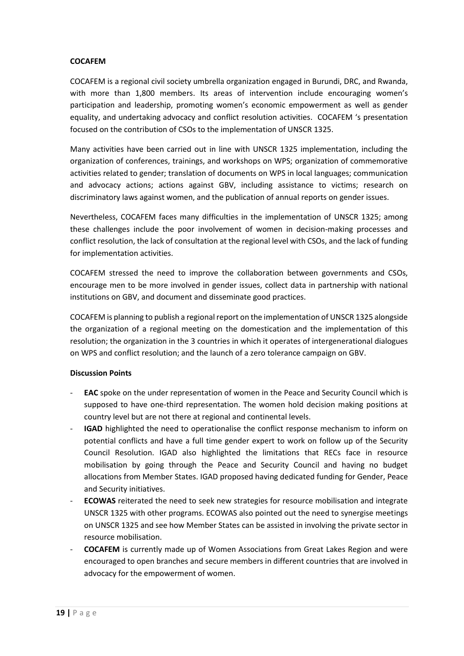#### **COCAFEM**

COCAFEM is a regional civil society umbrella organization engaged in Burundi, DRC, and Rwanda, with more than 1,800 members. Its areas of intervention include encouraging women's participation and leadership, promoting women's economic empowerment as well as gender equality, and undertaking advocacy and conflict resolution activities. COCAFEM 's presentation focused on the contribution of CSOs to the implementation of UNSCR 1325.

Many activities have been carried out in line with UNSCR 1325 implementation, including the organization of conferences, trainings, and workshops on WPS; organization of commemorative activities related to gender; translation of documents on WPS in local languages; communication and advocacy actions; actions against GBV, including assistance to victims; research on discriminatory laws against women, and the publication of annual reports on gender issues.

Nevertheless, COCAFEM faces many difficulties in the implementation of UNSCR 1325; among these challenges include the poor involvement of women in decision-making processes and conflict resolution, the lack of consultation at the regional level with CSOs, and the lack of funding for implementation activities.

COCAFEM stressed the need to improve the collaboration between governments and CSOs, encourage men to be more involved in gender issues, collect data in partnership with national institutions on GBV, and document and disseminate good practices.

COCAFEM is planning to publish a regional report on the implementation of UNSCR 1325 alongside the organization of a regional meeting on the domestication and the implementation of this resolution; the organization in the 3 countries in which it operates of intergenerational dialogues on WPS and conflict resolution; and the launch of a zero tolerance campaign on GBV.

### **Discussion Points**

- **EAC** spoke on the under representation of women in the Peace and Security Council which is supposed to have one-third representation. The women hold decision making positions at country level but are not there at regional and continental levels.
- **IGAD** highlighted the need to operationalise the conflict response mechanism to inform on potential conflicts and have a full time gender expert to work on follow up of the Security Council Resolution. IGAD also highlighted the limitations that RECs face in resource mobilisation by going through the Peace and Security Council and having no budget allocations from Member States. IGAD proposed having dedicated funding for Gender, Peace and Security initiatives.
- **ECOWAS** reiterated the need to seek new strategies for resource mobilisation and integrate UNSCR 1325 with other programs. ECOWAS also pointed out the need to synergise meetings on UNSCR 1325 and see how Member States can be assisted in involving the private sector in resource mobilisation.
- **COCAFEM** is currently made up of Women Associations from Great Lakes Region and were encouraged to open branches and secure members in different countries that are involved in advocacy for the empowerment of women.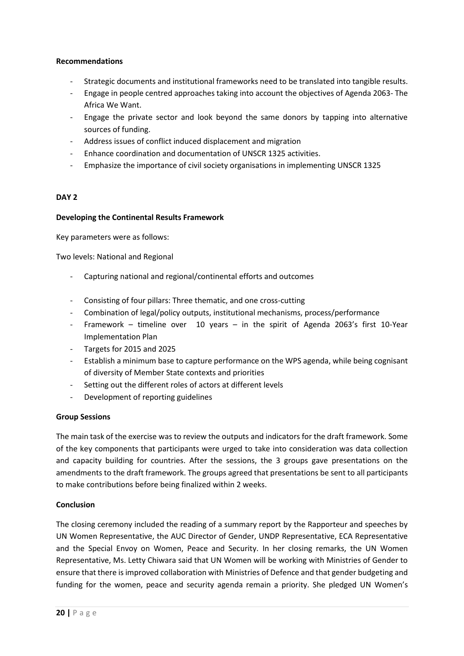### **Recommendations**

- Strategic documents and institutional frameworks need to be translated into tangible results.
- Engage in people centred approaches taking into account the objectives of Agenda 2063- The Africa We Want.
- Engage the private sector and look beyond the same donors by tapping into alternative sources of funding.
- Address issues of conflict induced displacement and migration
- Enhance coordination and documentation of UNSCR 1325 activities.
- Emphasize the importance of civil society organisations in implementing UNSCR 1325

#### **DAY 2**

#### **Developing the Continental Results Framework**

Key parameters were as follows:

Two levels: National and Regional

- Capturing national and regional/continental efforts and outcomes
- Consisting of four pillars: Three thematic, and one cross-cutting
- Combination of legal/policy outputs, institutional mechanisms, process/performance
- Framework timeline over 10 years in the spirit of Agenda 2063's first 10-Year Implementation Plan
- Targets for 2015 and 2025
- Establish a minimum base to capture performance on the WPS agenda, while being cognisant of diversity of Member State contexts and priorities
- Setting out the different roles of actors at different levels
- Development of reporting guidelines

#### **Group Sessions**

The main task of the exercise was to review the outputs and indicators for the draft framework. Some of the key components that participants were urged to take into consideration was data collection and capacity building for countries. After the sessions, the 3 groups gave presentations on the amendments to the draft framework. The groups agreed that presentations be sent to all participants to make contributions before being finalized within 2 weeks.

#### **Conclusion**

The closing ceremony included the reading of a summary report by the Rapporteur and speeches by UN Women Representative, the AUC Director of Gender, UNDP Representative, ECA Representative and the Special Envoy on Women, Peace and Security. In her closing remarks, the UN Women Representative, Ms. Letty Chiwara said that UN Women will be working with Ministries of Gender to ensure that there is improved collaboration with Ministries of Defence and that gender budgeting and funding for the women, peace and security agenda remain a priority. She pledged UN Women's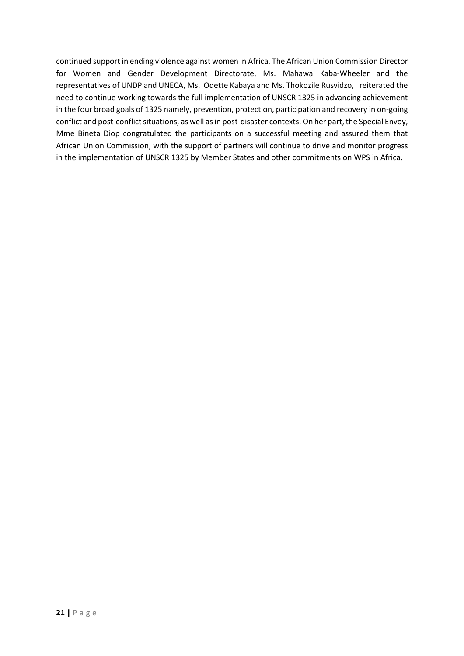continued support in ending violence against women in Africa. The African Union Commission Director for Women and Gender Development Directorate, Ms. Mahawa Kaba-Wheeler and the representatives of UNDP and UNECA, Ms. Odette Kabaya and Ms. Thokozile Rusvidzo, reiterated the need to continue working towards the full implementation of UNSCR 1325 in advancing achievement in the four broad goals of 1325 namely, prevention, protection, participation and recovery in on-going conflict and post-conflict situations, as well as in post-disaster contexts. On her part, the Special Envoy, Mme Bineta Diop congratulated the participants on a successful meeting and assured them that African Union Commission, with the support of partners will continue to drive and monitor progress in the implementation of UNSCR 1325 by Member States and other commitments on WPS in Africa.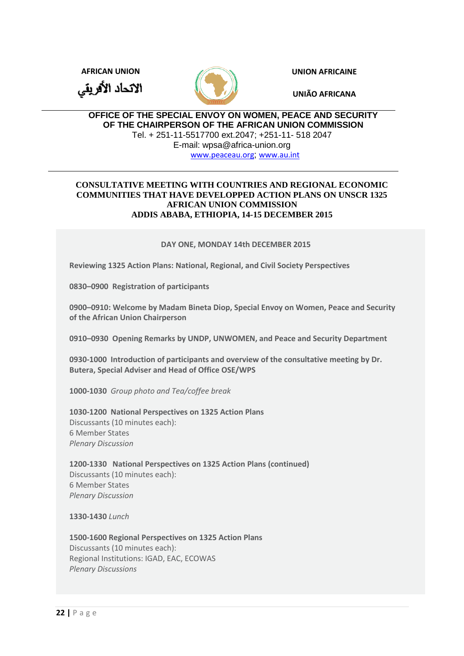**AFRICAN UNION UNION AFRICAINE**

الاتحاد الأفريقي



**UNIÃO AFRICANA**

### **OFFICE OF THE SPECIAL ENVOY ON WOMEN, PEACE AND SECURITY OF THE CHAIRPERSON OF THE AFRICAN UNION COMMISSION**  Tel. + 251-11-5517700 ext.2047; +251-11- 518 2047 E-mail: wpsa@africa-union.org

[www.peaceau.org](http://www.peaceau.org/); [www.au.int](http://www.au.int/)

### **CONSULTATIVE MEETING WITH COUNTRIES AND REGIONAL ECONOMIC COMMUNITIES THAT HAVE DEVELOPPED ACTION PLANS ON UNSCR 1325 AFRICAN UNION COMMISSION ADDIS ABABA, ETHIOPIA, 14-15 DECEMBER 2015**

### **DAY ONE, MONDAY 14th DECEMBER 2015**

**Reviewing 1325 Action Plans: National, Regional, and Civil Society Perspectives**

**0830–0900 Registration of participants**

**0900–0910: Welcome by Madam Bineta Diop, Special Envoy on Women, Peace and Security of the African Union Chairperson** 

**0910–0930 Opening Remarks by UNDP, UNWOMEN, and Peace and Security Department**

**0930-1000 Introduction of participants and overview of the consultative meeting by Dr. Butera, Special Adviser and Head of Office OSE/WPS**

**1000-1030** *Group photo and Tea/coffee break* 

**1030-1200 National Perspectives on 1325 Action Plans** Discussants (10 minutes each): 6 Member States *Plenary Discussion* 

**1200-1330 National Perspectives on 1325 Action Plans (continued)** Discussants (10 minutes each): 6 Member States *Plenary Discussion*

**1330-1430** *Lunch*

**1500-1600 Regional Perspectives on 1325 Action Plans** Discussants (10 minutes each): Regional Institutions: IGAD, EAC, ECOWAS *Plenary Discussions*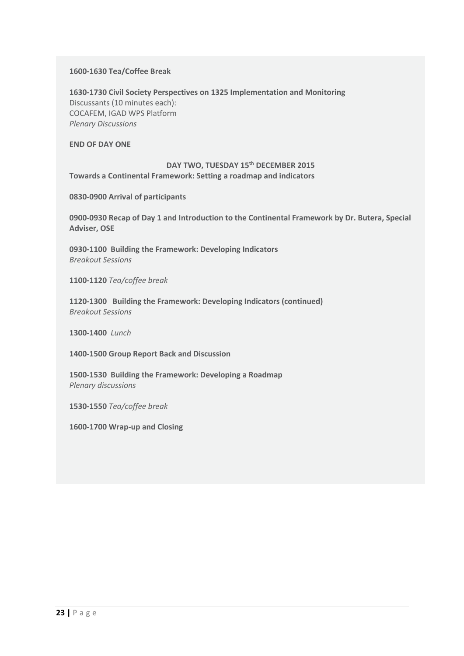#### **1600-1630 Tea/Coffee Break**

**1630-1730 Civil Society Perspectives on 1325 Implementation and Monitoring** Discussants (10 minutes each): COCAFEM, IGAD WPS Platform *Plenary Discussions*

**END OF DAY ONE**

### **DAY TWO, TUESDAY 15th DECEMBER 2015 Towards a Continental Framework: Setting a roadmap and indicators**

**0830-0900 Arrival of participants**

**0900-0930 Recap of Day 1 and Introduction to the Continental Framework by Dr. Butera, Special Adviser, OSE**

**0930-1100 Building the Framework: Developing Indicators**  *Breakout Sessions*

**1100-1120** *Tea/coffee break*

**1120-1300 Building the Framework: Developing Indicators (continued)** *Breakout Sessions*

**1300-1400** *Lunch*

**1400-1500 Group Report Back and Discussion**

**1500-1530 Building the Framework: Developing a Roadmap**  *Plenary discussions*

**1530-1550** *Tea/coffee break*

**1600-1700 Wrap-up and Closing**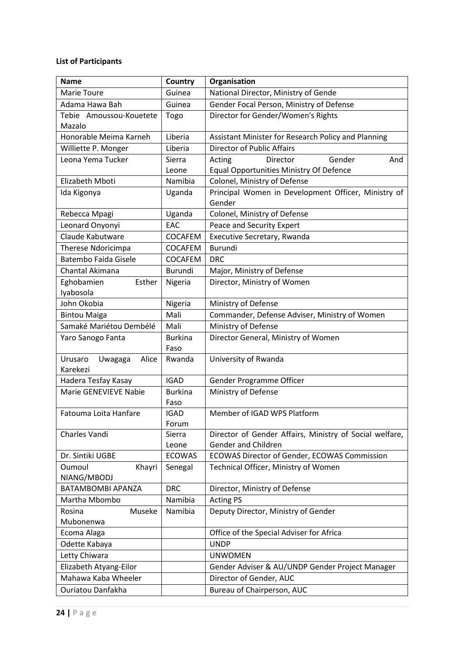## **List of Participants**

| <b>Name</b>                             | Country                | Organisation                                                                          |
|-----------------------------------------|------------------------|---------------------------------------------------------------------------------------|
| Marie Toure                             | Guinea                 | National Director, Ministry of Gende                                                  |
| Adama Hawa Bah                          | Guinea                 | Gender Focal Person, Ministry of Defense                                              |
| Tebie Amoussou-Kouetete                 | Togo                   | Director for Gender/Women's Rights                                                    |
| Mazalo                                  |                        |                                                                                       |
| Honorable Meima Karneh                  | Liberia                | Assistant Minister for Research Policy and Planning                                   |
| Williette P. Monger                     | Liberia                | <b>Director of Public Affairs</b>                                                     |
| Leona Yema Tucker                       | Sierra                 | Gender<br>Director<br>Acting<br>And                                                   |
|                                         | Leone                  | <b>Equal Opportunities Ministry Of Defence</b>                                        |
| Elizabeth Mboti                         | Namibia                | Colonel, Ministry of Defense                                                          |
| Ida Kigonya                             | Uganda                 | Principal Women in Development Officer, Ministry of<br>Gender                         |
| Rebecca Mpagi                           | Uganda                 | Colonel, Ministry of Defense                                                          |
| Leonard Onyonyi                         | EAC                    | Peace and Security Expert                                                             |
| Claude Kabutware                        | <b>COCAFEM</b>         | Executive Secretary, Rwanda                                                           |
| Therese Ndoricimpa                      | <b>COCAFEM</b>         | Burundi                                                                               |
| <b>Batembo Faida Gisele</b>             | <b>COCAFEM</b>         | <b>DRC</b>                                                                            |
| Chantal Akimana                         | Burundi                | Major, Ministry of Defense                                                            |
| Eghobamien<br>Esther<br>Iyabosola       | Nigeria                | Director, Ministry of Women                                                           |
| John Okobia                             | Nigeria                | Ministry of Defense                                                                   |
| <b>Bintou Maiga</b>                     | Mali                   | Commander, Defense Adviser, Ministry of Women                                         |
| Samaké Mariétou Dembélé                 | Mali                   | Ministry of Defense                                                                   |
| Yaro Sanogo Fanta                       | <b>Burkina</b><br>Faso | Director General, Ministry of Women                                                   |
| Alice<br>Urusaro<br>Uwagaga<br>Karekezi | Rwanda                 | University of Rwanda                                                                  |
| Hadera Tesfay Kasay                     | <b>IGAD</b>            | Gender Programme Officer                                                              |
| <b>Marie GENEVIEVE Nabie</b>            | <b>Burkina</b>         | Ministry of Defense                                                                   |
|                                         | Faso                   |                                                                                       |
| Fatouma Loita Hanfare                   | <b>IGAD</b>            | Member of IGAD WPS Platform                                                           |
|                                         | Forum                  |                                                                                       |
| Charles Vandi                           | Sierra<br>Leone        | Director of Gender Affairs, Ministry of Social welfare,<br><b>Gender and Children</b> |
| Dr. Sintiki UGBE                        | <b>ECOWAS</b>          | <b>ECOWAS Director of Gender, ECOWAS Commission</b>                                   |
| Oumoul<br>Khayri                        | Senegal                | Technical Officer, Ministry of Women                                                  |
| NIANG/MBODJ                             |                        |                                                                                       |
| <b>BATAMBOMBI APANZA</b>                | <b>DRC</b>             | Director, Ministry of Defense                                                         |
| Martha Mbombo                           | Namibia                | <b>Acting PS</b>                                                                      |
| Rosina<br>Museke                        | Namibia                | Deputy Director, Ministry of Gender                                                   |
| Mubonenwa                               |                        |                                                                                       |
| Ecoma Alaga                             |                        | Office of the Special Adviser for Africa                                              |
| Odette Kabaya                           |                        | <b>UNDP</b>                                                                           |
| Letty Chiwara                           |                        | <b>UNWOMEN</b>                                                                        |
| Elizabeth Atyang-Eilor                  |                        | Gender Adviser & AU/UNDP Gender Project Manager                                       |
| Mahawa Kaba Wheeler                     |                        | Director of Gender, AUC                                                               |
| Ouriatou Danfakha                       |                        | Bureau of Chairperson, AUC                                                            |